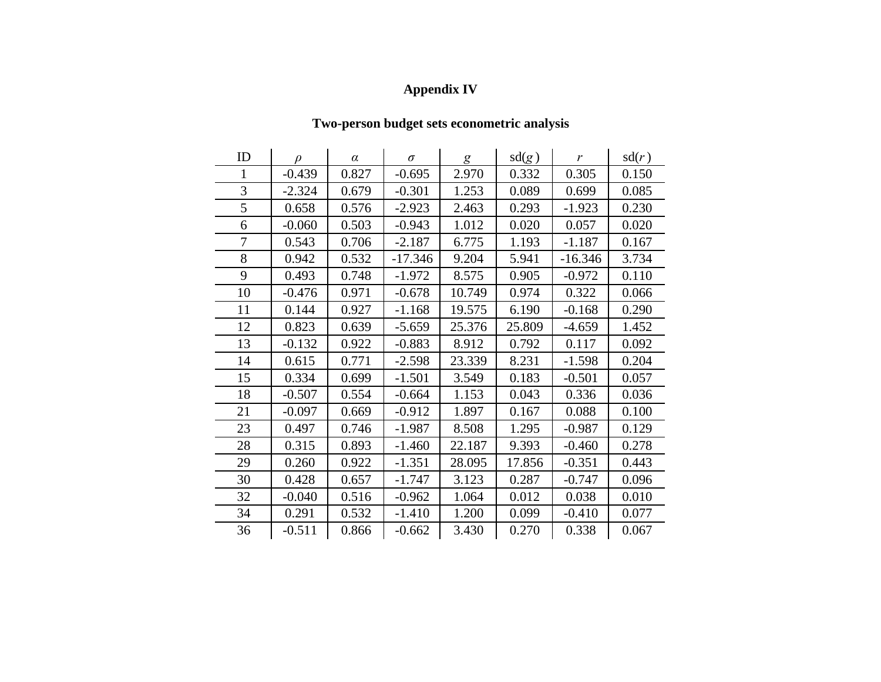## **Appendix IV**

## **Two-person budget sets econometric analysis**

| ID | $\mathcal{D}$ | $\alpha$ | $\sigma$  | g      | sd(g)  | r         | sd(r) |
|----|---------------|----------|-----------|--------|--------|-----------|-------|
| 1  | $-0.439$      | 0.827    | $-0.695$  | 2.970  | 0.332  | 0.305     | 0.150 |
| 3  | $-2.324$      | 0.679    | $-0.301$  | 1.253  | 0.089  | 0.699     | 0.085 |
| 5  | 0.658         | 0.576    | $-2.923$  | 2.463  | 0.293  | $-1.923$  | 0.230 |
| 6  | $-0.060$      | 0.503    | $-0.943$  | 1.012  | 0.020  | 0.057     | 0.020 |
| 7  | 0.543         | 0.706    | $-2.187$  | 6.775  | 1.193  | $-1.187$  | 0.167 |
| 8  | 0.942         | 0.532    | $-17.346$ | 9.204  | 5.941  | $-16.346$ | 3.734 |
| 9  | 0.493         | 0.748    | $-1.972$  | 8.575  | 0.905  | $-0.972$  | 0.110 |
| 10 | $-0.476$      | 0.971    | $-0.678$  | 10.749 | 0.974  | 0.322     | 0.066 |
| 11 | 0.144         | 0.927    | $-1.168$  | 19.575 | 6.190  | $-0.168$  | 0.290 |
| 12 | 0.823         | 0.639    | $-5.659$  | 25.376 | 25.809 | $-4.659$  | 1.452 |
| 13 | $-0.132$      | 0.922    | $-0.883$  | 8.912  | 0.792  | 0.117     | 0.092 |
| 14 | 0.615         | 0.771    | $-2.598$  | 23.339 | 8.231  | $-1.598$  | 0.204 |
| 15 | 0.334         | 0.699    | $-1.501$  | 3.549  | 0.183  | $-0.501$  | 0.057 |
| 18 | $-0.507$      | 0.554    | $-0.664$  | 1.153  | 0.043  | 0.336     | 0.036 |
| 21 | $-0.097$      | 0.669    | $-0.912$  | 1.897  | 0.167  | 0.088     | 0.100 |
| 23 | 0.497         | 0.746    | $-1.987$  | 8.508  | 1.295  | $-0.987$  | 0.129 |
| 28 | 0.315         | 0.893    | $-1.460$  | 22.187 | 9.393  | $-0.460$  | 0.278 |
| 29 | 0.260         | 0.922    | $-1.351$  | 28.095 | 17.856 | $-0.351$  | 0.443 |
| 30 | 0.428         | 0.657    | $-1.747$  | 3.123  | 0.287  | $-0.747$  | 0.096 |
| 32 | $-0.040$      | 0.516    | $-0.962$  | 1.064  | 0.012  | 0.038     | 0.010 |
| 34 | 0.291         | 0.532    | $-1.410$  | 1.200  | 0.099  | $-0.410$  | 0.077 |
| 36 | $-0.511$      | 0.866    | $-0.662$  | 3.430  | 0.270  | 0.338     | 0.067 |